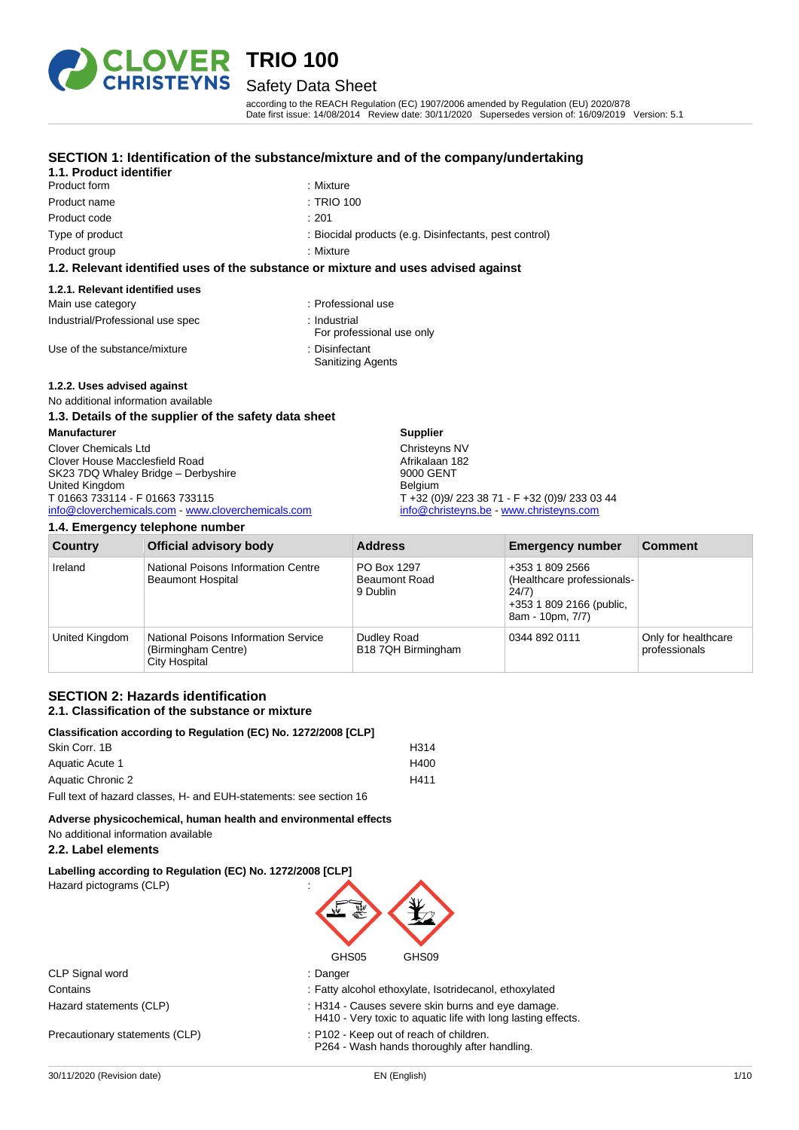

### Safety Data Sheet

according to the REACH Regulation (EC) 1907/2006 amended by Regulation (EU) 2020/878 Date first issue: 14/08/2014 Review date: 30/11/2020 Supersedes version of: 16/09/2019 Version: 5.1

pest control)

## **SECTION 1: Identification of the substance/mixture and of the company/undertaking**

|                                  | SECTION 1. Identification of the substance/inixture and of the company/ul          |
|----------------------------------|------------------------------------------------------------------------------------|
| 1.1. Product identifier          |                                                                                    |
| Product form                     | : Mixture                                                                          |
| Product name                     | : TRIO 100                                                                         |
| Product code                     | : 201                                                                              |
| Type of product                  | : Biocidal products (e.g. Disinfectants, pest c                                    |
| Product group                    | : Mixture                                                                          |
|                                  | 1.2. Relevant identified uses of the substance or mixture and uses advised against |
| 1.2.1. Relevant identified uses  |                                                                                    |
| Main use category                | : Professional use                                                                 |
| Industrial/Professional use spec | : Industrial                                                                       |

Use of the substance/mixture : Disinfectant :

### **1.2.2. Uses advised against**

No additional information available

### **1.3. Details of the supplier of the safety data sheet**

| <b>Manufacturer</b>                                | <b>Supplier</b>                               |
|----------------------------------------------------|-----------------------------------------------|
| <b>Clover Chemicals Ltd</b>                        | Christeyns NV                                 |
| Clover House Macclesfield Road                     | Afrikalaan 182                                |
| SK23 7DQ Whaley Bridge - Derbyshire                | 9000 GENT                                     |
| United Kingdom                                     | <b>Belaium</b>                                |
| T 01663 733114 - F 01663 733115                    | T +32 (0)9/ 223 38 71 - F +32 (0)9/ 233 03 44 |
| info@cloverchemicals.com - www.cloverchemicals.com | info@christeyns.be - www.christeyns.com       |

### **1.4. Emergency telephone number**

| <b>Country</b> | <b>Official advisory body</b>                                                       | <b>Address</b>                                  | <b>Emergency number</b>                                                                                | <b>Comment</b>                       |
|----------------|-------------------------------------------------------------------------------------|-------------------------------------------------|--------------------------------------------------------------------------------------------------------|--------------------------------------|
| Ireland        | National Poisons Information Centre<br><b>Beaumont Hospital</b>                     | PO Box 1297<br><b>Beaumont Road</b><br>9 Dublin | +353 1 809 2566<br>(Healthcare professionals-<br>24/7)<br>+353 1 809 2166 (public,<br>8am - 10pm, 7/7) |                                      |
| United Kingdom | National Poisons Information Service<br>(Birmingham Centre)<br><b>City Hospital</b> | Dudley Road<br>B18 7QH Birmingham               | 0344 892 0111                                                                                          | Only for healthcare<br>professionals |

For professional use only

Sanitizing Agents

### **SECTION 2: Hazards identification 2.1. Classification of the substance or mixture**

| Classification according to Regulation (EC) No. 1272/2008 [CLP]    |      |  |
|--------------------------------------------------------------------|------|--|
| Skin Corr. 1B                                                      | H314 |  |
| Aquatic Acute 1                                                    | H400 |  |
| Aquatic Chronic 2                                                  | H411 |  |
| Full text of hazard classes. H- and EUH-statements: see section 16 |      |  |

**Adverse physicochemical, human health and environmental effects** No additional information available

### **2.2. Label elements**

**Labelling according to Regulation (EC) No. 1272/2008 [CLP]** Hazard pictograms (CLP) :



|                                | GHS05<br>GHS09                                                                                                    |  |
|--------------------------------|-------------------------------------------------------------------------------------------------------------------|--|
| CLP Signal word                | : Danger                                                                                                          |  |
| Contains                       | : Fatty alcohol ethoxylate, Isotridecanol, ethoxylated                                                            |  |
| Hazard statements (CLP)        | : H314 - Causes severe skin burns and eye damage.<br>H410 - Very toxic to aquatic life with long lasting effects. |  |
| Precautionary statements (CLP) | : P102 - Keep out of reach of children.<br>P264 - Wash hands thoroughly after handling.                           |  |
|                                |                                                                                                                   |  |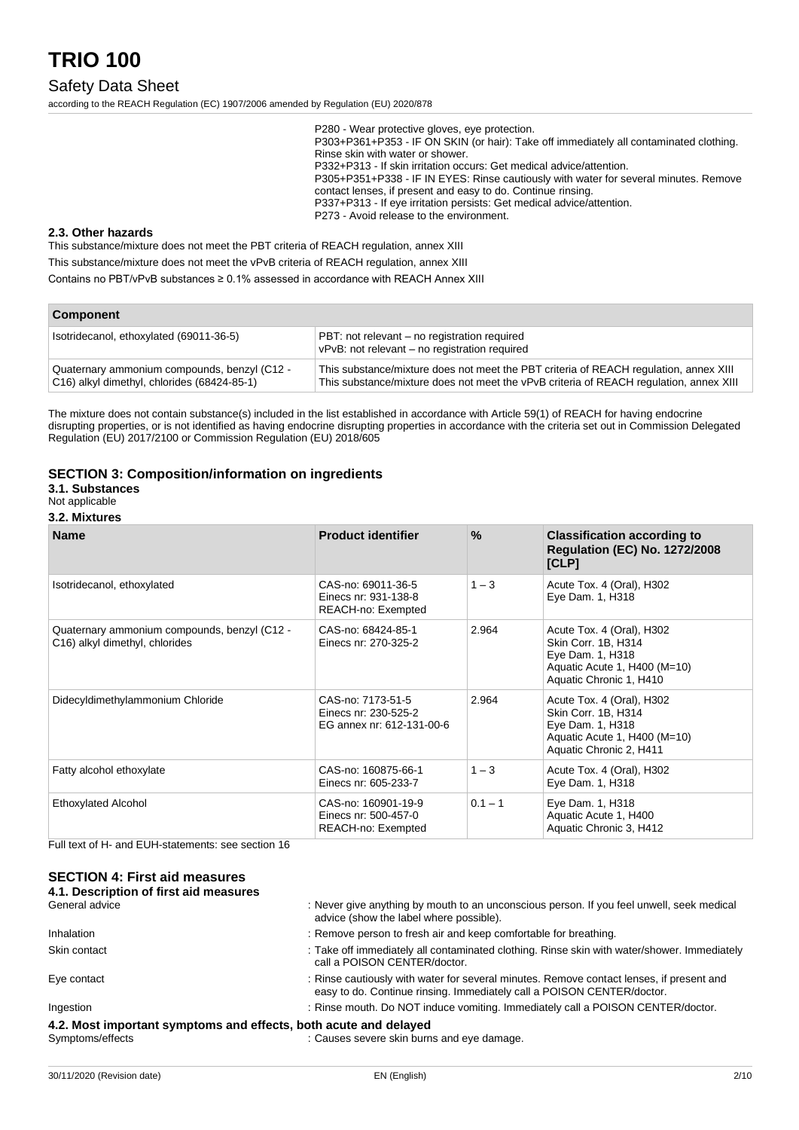### Safety Data Sheet

according to the REACH Regulation (EC) 1907/2006 amended by Regulation (EU) 2020/878

P280 - Wear protective gloves, eye protection. P303+P361+P353 - IF ON SKIN (or hair): Take off immediately all contaminated clothing. Rinse skin with water or shower. P332+P313 - If skin irritation occurs: Get medical advice/attention. P305+P351+P338 - IF IN EYES: Rinse cautiously with water for several minutes. Remove contact lenses, if present and easy to do. Continue rinsing. P337+P313 - If eye irritation persists: Get medical advice/attention. P273 - Avoid release to the environment.

#### **2.3. Other hazards**

This substance/mixture does not meet the PBT criteria of REACH regulation, annex XIII

This substance/mixture does not meet the vPvB criteria of REACH regulation, annex XIII

Contains no PBT/vPvB substances ≥ 0.1% assessed in accordance with REACH Annex XIII

| <b>Component</b>                                                                            |                                                                                                                                                                                 |  |
|---------------------------------------------------------------------------------------------|---------------------------------------------------------------------------------------------------------------------------------------------------------------------------------|--|
| Isotridecanol, ethoxylated (69011-36-5)                                                     | PBT: not relevant – no registration required<br>vPvB: not relevant - no registration required                                                                                   |  |
| Quaternary ammonium compounds, benzyl (C12 -<br>C16) alkyl dimethyl, chlorides (68424-85-1) | This substance/mixture does not meet the PBT criteria of REACH regulation, annex XIII<br>This substance/mixture does not meet the vPvB criteria of REACH regulation, annex XIII |  |

The mixture does not contain substance(s) included in the list established in accordance with Article 59(1) of REACH for having endocrine disrupting properties, or is not identified as having endocrine disrupting properties in accordance with the criteria set out in Commission Delegated Regulation (EU) 2017/2100 or Commission Regulation (EU) 2018/605

### **SECTION 3: Composition/information on ingredients**

**3.1. Substances**

Not applicable

### **3.2. Mixtures**

| <b>Name</b>                                                                    | <b>Product identifier</b>                                              | $\%$      | <b>Classification according to</b><br><b>Regulation (EC) No. 1272/2008</b><br>[CLP]                                             |
|--------------------------------------------------------------------------------|------------------------------------------------------------------------|-----------|---------------------------------------------------------------------------------------------------------------------------------|
| Isotridecanol, ethoxylated                                                     | CAS-no: 69011-36-5<br>Einecs nr: 931-138-8<br>REACH-no: Exempted       | $1 - 3$   | Acute Tox. 4 (Oral), H302<br>Eye Dam. 1, H318                                                                                   |
| Quaternary ammonium compounds, benzyl (C12 -<br>C16) alkyl dimethyl, chlorides | CAS-no: 68424-85-1<br>Einecs nr: 270-325-2                             | 2.964     | Acute Tox. 4 (Oral), H302<br>Skin Corr. 1B, H314<br>Eye Dam. 1, H318<br>Aquatic Acute 1, H400 (M=10)<br>Aquatic Chronic 1, H410 |
| Didecyldimethylammonium Chloride                                               | CAS-no: 7173-51-5<br>Einecs nr: 230-525-2<br>EG annex nr: 612-131-00-6 | 2.964     | Acute Tox. 4 (Oral), H302<br>Skin Corr. 1B, H314<br>Eye Dam. 1, H318<br>Aquatic Acute 1, H400 (M=10)<br>Aquatic Chronic 2, H411 |
| Fatty alcohol ethoxylate                                                       | CAS-no: 160875-66-1<br>Einecs nr: 605-233-7                            | $1 - 3$   | Acute Tox. 4 (Oral), H302<br>Eye Dam. 1, H318                                                                                   |
| <b>Ethoxylated Alcohol</b>                                                     | CAS-no: 160901-19-9<br>Einecs nr: 500-457-0<br>REACH-no: Exempted      | $0.1 - 1$ | Eye Dam. 1, H318<br>Aquatic Acute 1, H400<br>Aquatic Chronic 3, H412                                                            |

Full text of H- and EUH-statements: see section 16

### **SECTION 4: First aid measures**

| 4.1. Description of first aid measures                           |                                                                                                                                                                    |
|------------------------------------------------------------------|--------------------------------------------------------------------------------------------------------------------------------------------------------------------|
| General advice                                                   | : Never give anything by mouth to an unconscious person. If you feel unwell, seek medical<br>advice (show the label where possible).                               |
| <b>Inhalation</b>                                                | : Remove person to fresh air and keep comfortable for breathing.                                                                                                   |
| Skin contact                                                     | : Take off immediately all contaminated clothing. Rinse skin with water/shower. Immediately<br>call a POISON CENTER/doctor.                                        |
| Eye contact                                                      | : Rinse cautiously with water for several minutes. Remove contact lenses, if present and<br>easy to do. Continue rinsing. Immediately call a POISON CENTER/doctor. |
| Ingestion                                                        | : Rinse mouth. Do NOT induce vomiting. Immediately call a POISON CENTER/doctor.                                                                                    |
| 4.2. Most important symptoms and effects, both acute and delayed |                                                                                                                                                                    |
|                                                                  |                                                                                                                                                                    |

Symptoms/effects in the causes severe skin burns and eye damage.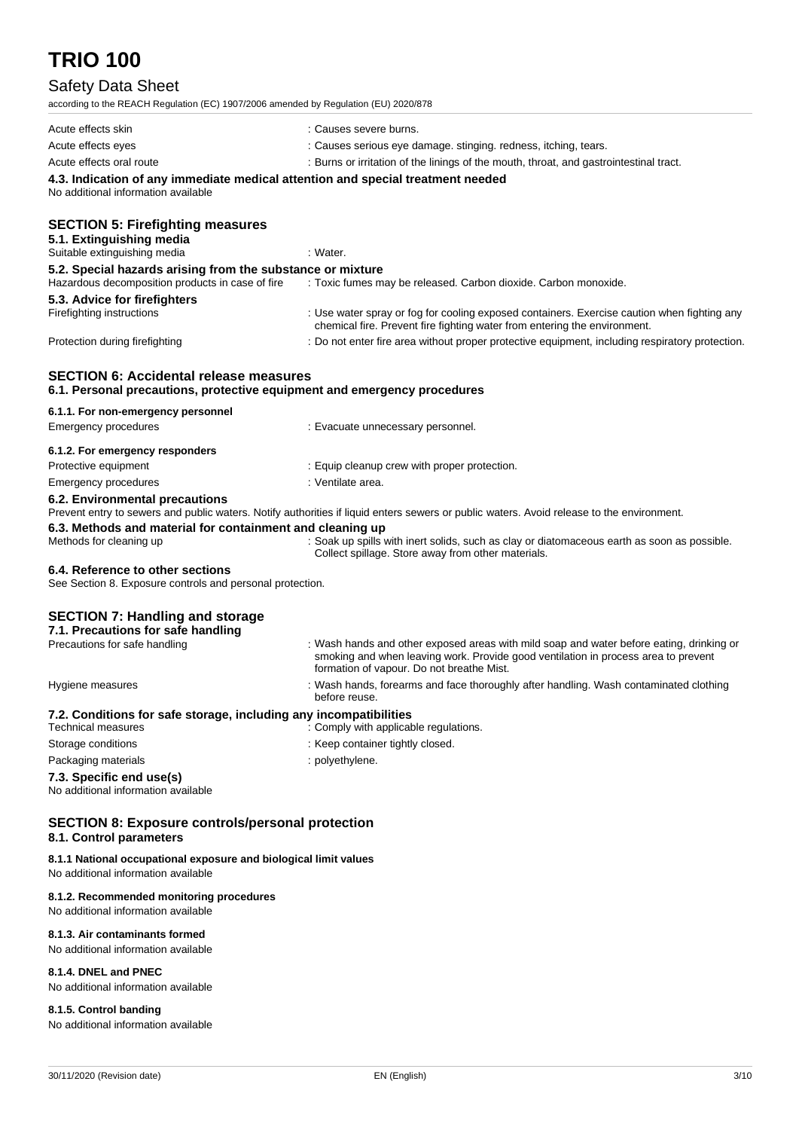## Safety Data Sheet

according to the REACH Regulation (EC) 1907/2006 amended by Regulation (EU) 2020/878

| according to the KEACH Regulation (EC) 1907/2006 america by Regulation (EO) 2020/676                                      |                                                                                                                                                                                                                             |
|---------------------------------------------------------------------------------------------------------------------------|-----------------------------------------------------------------------------------------------------------------------------------------------------------------------------------------------------------------------------|
| Acute effects skin                                                                                                        | : Causes severe burns.                                                                                                                                                                                                      |
| Acute effects eyes                                                                                                        | : Causes serious eye damage. stinging. redness, itching, tears.                                                                                                                                                             |
| Acute effects oral route                                                                                                  | : Burns or irritation of the linings of the mouth, throat, and gastrointestinal tract.                                                                                                                                      |
| 4.3. Indication of any immediate medical attention and special treatment needed<br>No additional information available    |                                                                                                                                                                                                                             |
| <b>SECTION 5: Firefighting measures</b><br>5.1. Extinguishing media                                                       |                                                                                                                                                                                                                             |
| Suitable extinguishing media                                                                                              | : Water.                                                                                                                                                                                                                    |
| 5.2. Special hazards arising from the substance or mixture                                                                |                                                                                                                                                                                                                             |
| Hazardous decomposition products in case of fire                                                                          | : Toxic fumes may be released. Carbon dioxide. Carbon monoxide.                                                                                                                                                             |
| 5.3. Advice for firefighters<br>Firefighting instructions                                                                 | : Use water spray or fog for cooling exposed containers. Exercise caution when fighting any<br>chemical fire. Prevent fire fighting water from entering the environment.                                                    |
| Protection during firefighting                                                                                            | : Do not enter fire area without proper protective equipment, including respiratory protection.                                                                                                                             |
| <b>SECTION 6: Accidental release measures</b><br>6.1. Personal precautions, protective equipment and emergency procedures |                                                                                                                                                                                                                             |
| 6.1.1. For non-emergency personnel<br>Emergency procedures                                                                | : Evacuate unnecessary personnel.                                                                                                                                                                                           |
| 6.1.2. For emergency responders                                                                                           |                                                                                                                                                                                                                             |
| Protective equipment                                                                                                      | : Equip cleanup crew with proper protection.                                                                                                                                                                                |
| <b>Emergency procedures</b>                                                                                               | : Ventilate area.                                                                                                                                                                                                           |
| 6.2. Environmental precautions                                                                                            | Prevent entry to sewers and public waters. Notify authorities if liquid enters sewers or public waters. Avoid release to the environment.                                                                                   |
| 6.3. Methods and material for containment and cleaning up                                                                 |                                                                                                                                                                                                                             |
| Methods for cleaning up                                                                                                   | : Soak up spills with inert solids, such as clay or diatomaceous earth as soon as possible.<br>Collect spillage. Store away from other materials.                                                                           |
| 6.4. Reference to other sections<br>See Section 8. Exposure controls and personal protection.                             |                                                                                                                                                                                                                             |
| <b>SECTION 7: Handling and storage</b><br>7.1. Precautions for safe handling                                              |                                                                                                                                                                                                                             |
| Precautions for safe handling                                                                                             | : Wash hands and other exposed areas with mild soap and water before eating, drinking or<br>smoking and when leaving work. Provide good ventilation in process area to prevent<br>formation of vapour. Do not breathe Mist. |
| Hygiene measures                                                                                                          | : Wash hands, forearms and face thoroughly after handling. Wash contaminated clothing<br>before reuse.                                                                                                                      |
| 7.2. Conditions for safe storage, including any incompatibilities                                                         |                                                                                                                                                                                                                             |
| <b>Technical measures</b>                                                                                                 | : Comply with applicable regulations.                                                                                                                                                                                       |
| Storage conditions                                                                                                        | : Keep container tightly closed.                                                                                                                                                                                            |
| Packaging materials                                                                                                       | : polyethylene.                                                                                                                                                                                                             |
| 7.3. Specific end use(s)<br>No additional information available                                                           |                                                                                                                                                                                                                             |
| <b>SECTION 8: Exposure controls/personal protection</b><br>8.1. Control parameters                                        |                                                                                                                                                                                                                             |
| 8.1.1 National occupational exposure and biological limit values                                                          |                                                                                                                                                                                                                             |

No additional information available

#### **8.1.2. Recommended monitoring procedures**

No additional information available

### **8.1.3. Air contaminants formed**

No additional information available

### **8.1.4. DNEL and PNEC**

No additional information available

### **8.1.5. Control banding**

No additional information available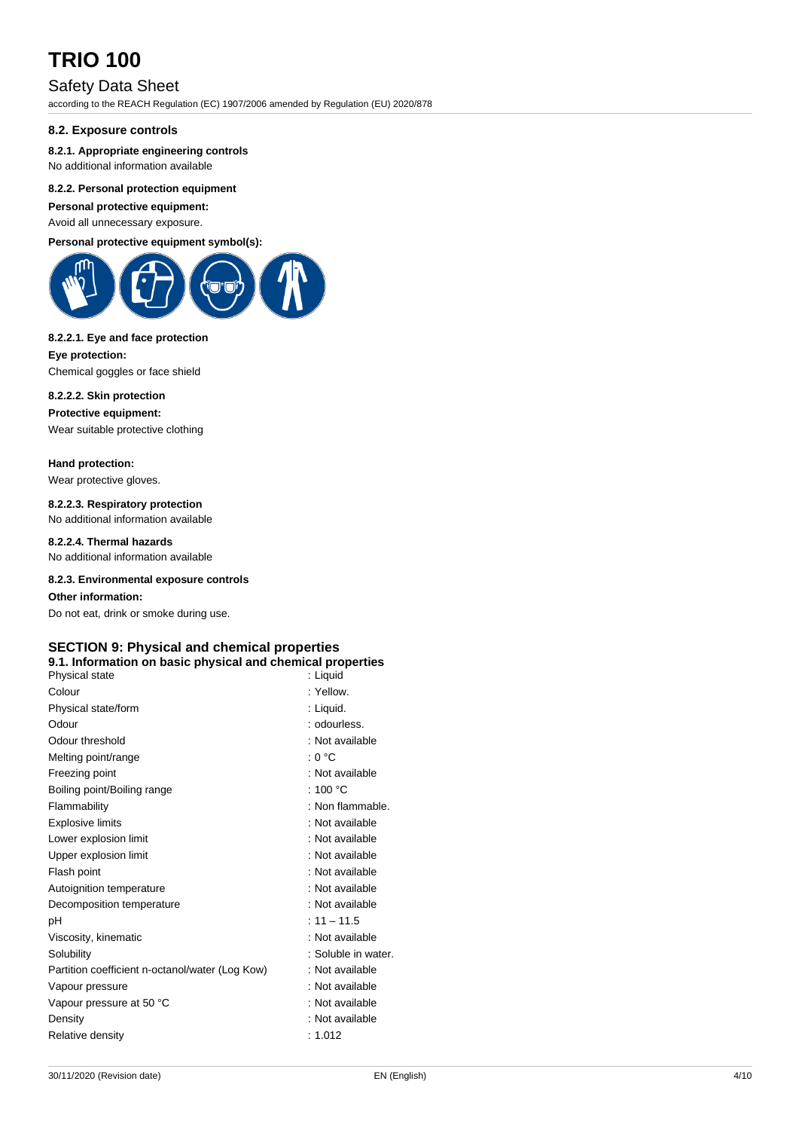### Safety Data Sheet

according to the REACH Regulation (EC) 1907/2006 amended by Regulation (EU) 2020/878

### **8.2. Exposure controls**

### **8.2.1. Appropriate engineering controls**

No additional information available

### **8.2.2. Personal protection equipment**

**Personal protective equipment:** Avoid all unnecessary exposure.

## **Personal protective equipment symbol(s):**



#### **8.2.2.1. Eye and face protection**

**Eye protection:** Chemical goggles or face shield

#### **8.2.2.2. Skin protection**

**Protective equipment:**

Wear suitable protective clothing

### **Hand protection:**

Wear protective gloves.

## **8.2.2.3. Respiratory protection**

No additional information available

### **8.2.2.4. Thermal hazards**

No additional information available

### **8.2.3. Environmental exposure controls**

**Other information:**

Do not eat, drink or smoke during use.

### **SECTION 9: Physical and chemical properties**

### **9.1. Information on basic physical and chemical properties**

| Physical state                                  | : Liquid            |
|-------------------------------------------------|---------------------|
| Colour                                          | : Yellow            |
| Physical state/form                             | : Liquid.           |
| Odour                                           | : odourless.        |
| Odour threshold                                 | : Not available     |
| Melting point/range                             | : 0 °C              |
| Freezing point                                  | : Not available     |
| Boiling point/Boiling range                     | : 100 $\degree$ C   |
| Flammability                                    | : Non flammable.    |
| <b>Explosive limits</b>                         | : Not available     |
| Lower explosion limit                           | : Not available     |
| Upper explosion limit                           | : Not available     |
| Flash point                                     | : Not available     |
| Autoignition temperature                        | : Not available     |
| Decomposition temperature                       | : Not available     |
| рH                                              | $: 11 - 11.5$       |
| Viscosity, kinematic                            | : Not available     |
| Solubility                                      | : Soluble in water. |
| Partition coefficient n-octanol/water (Log Kow) | : Not available     |
| Vapour pressure                                 | : Not available     |
| Vapour pressure at 50 °C                        | : Not available     |
| Density                                         | : Not available     |
| Relative density                                | : 1.012             |
|                                                 |                     |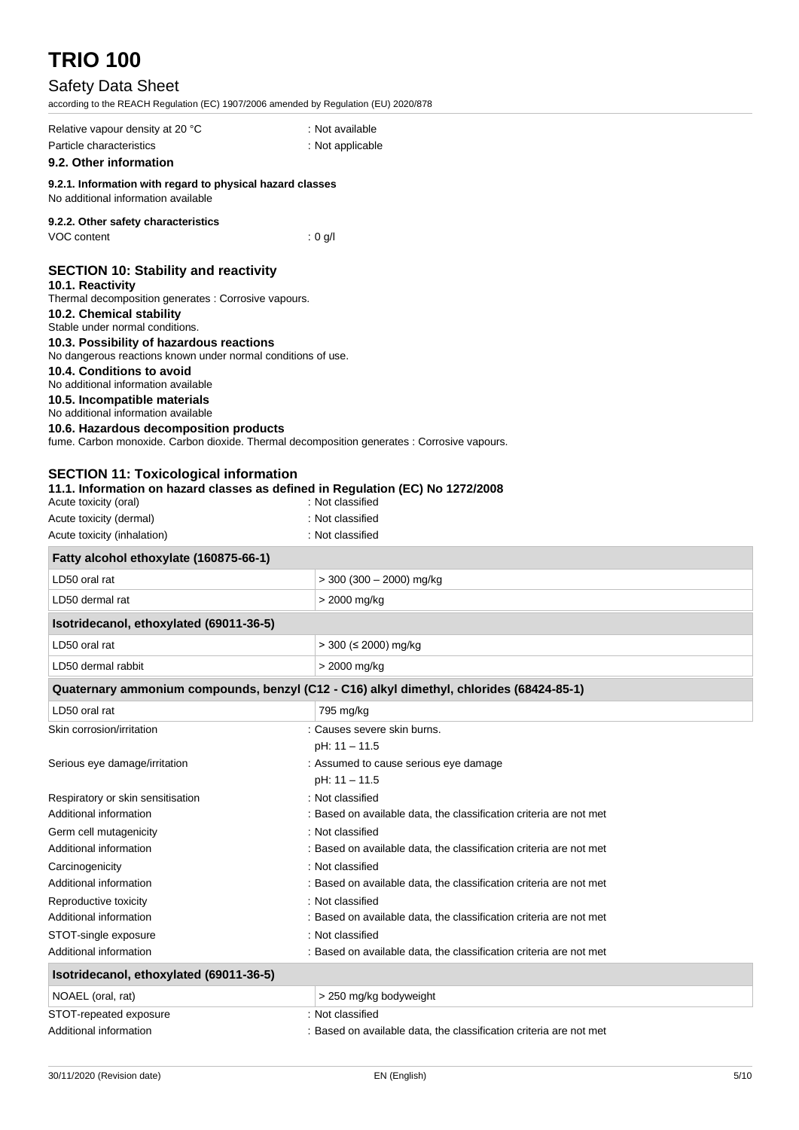## Safety Data Sheet

according to the REACH Regulation (EC) 1907/2006 amended by Regulation (EU) 2020/878

| according to the REACH Regulation (EC) 1907/2006 amended by Regulation (EU) 2020/676                                                                                                                                                                                                                                                                                                                                                                                                    |                                                                                                    |
|-----------------------------------------------------------------------------------------------------------------------------------------------------------------------------------------------------------------------------------------------------------------------------------------------------------------------------------------------------------------------------------------------------------------------------------------------------------------------------------------|----------------------------------------------------------------------------------------------------|
| Relative vapour density at 20 °C<br>Particle characteristics                                                                                                                                                                                                                                                                                                                                                                                                                            | : Not available<br>: Not applicable                                                                |
| 9.2. Other information                                                                                                                                                                                                                                                                                                                                                                                                                                                                  |                                                                                                    |
| 9.2.1. Information with regard to physical hazard classes<br>No additional information available                                                                                                                                                                                                                                                                                                                                                                                        |                                                                                                    |
| 9.2.2. Other safety characteristics<br>VOC content                                                                                                                                                                                                                                                                                                                                                                                                                                      | : 0 q/l                                                                                            |
| <b>SECTION 10: Stability and reactivity</b><br>10.1. Reactivity<br>Thermal decomposition generates : Corrosive vapours.<br>10.2. Chemical stability<br>Stable under normal conditions.<br>10.3. Possibility of hazardous reactions<br>No dangerous reactions known under normal conditions of use.<br>10.4. Conditions to avoid<br>No additional information available<br>10.5. Incompatible materials<br>No additional information available<br>10.6. Hazardous decomposition products | fume. Carbon monoxide. Carbon dioxide. Thermal decomposition generates : Corrosive vapours.        |
| <b>SECTION 11: Toxicological information</b><br>Acute toxicity (oral)                                                                                                                                                                                                                                                                                                                                                                                                                   | 11.1. Information on hazard classes as defined in Regulation (EC) No 1272/2008<br>: Not classified |
| Acute toxicity (dermal)                                                                                                                                                                                                                                                                                                                                                                                                                                                                 | : Not classified                                                                                   |
| Acute toxicity (inhalation)                                                                                                                                                                                                                                                                                                                                                                                                                                                             | : Not classified                                                                                   |
| Fatty alcohol ethoxylate (160875-66-1)                                                                                                                                                                                                                                                                                                                                                                                                                                                  |                                                                                                    |
| LD50 oral rat                                                                                                                                                                                                                                                                                                                                                                                                                                                                           | $>$ 300 (300 - 2000) mg/kg                                                                         |
| LD50 dermal rat                                                                                                                                                                                                                                                                                                                                                                                                                                                                         | > 2000 mg/kg                                                                                       |
| Isotridecanol, ethoxylated (69011-36-5)                                                                                                                                                                                                                                                                                                                                                                                                                                                 |                                                                                                    |
| LD50 oral rat                                                                                                                                                                                                                                                                                                                                                                                                                                                                           | $>$ 300 ( $\leq$ 2000) mg/kg                                                                       |
| LD50 dermal rabbit                                                                                                                                                                                                                                                                                                                                                                                                                                                                      | > 2000 mg/kg                                                                                       |
|                                                                                                                                                                                                                                                                                                                                                                                                                                                                                         | Quaternary ammonium compounds, benzyl (C12 - C16) alkyl dimethyl, chlorides (68424-85-1)           |
| LD50 oral rat                                                                                                                                                                                                                                                                                                                                                                                                                                                                           | 795 mg/kg                                                                                          |
| Skin corrosion/irritation                                                                                                                                                                                                                                                                                                                                                                                                                                                               | Causes severe skin burns.                                                                          |
|                                                                                                                                                                                                                                                                                                                                                                                                                                                                                         | pH: 11 - 11.5                                                                                      |
| Serious eye damage/irritation                                                                                                                                                                                                                                                                                                                                                                                                                                                           | : Assumed to cause serious eye damage<br>pH: 11 - 11.5                                             |
| Respiratory or skin sensitisation                                                                                                                                                                                                                                                                                                                                                                                                                                                       | : Not classified                                                                                   |
| Additional information                                                                                                                                                                                                                                                                                                                                                                                                                                                                  | : Based on available data, the classification criteria are not met                                 |
| Germ cell mutagenicity                                                                                                                                                                                                                                                                                                                                                                                                                                                                  | : Not classified                                                                                   |
| Additional information                                                                                                                                                                                                                                                                                                                                                                                                                                                                  | : Based on available data, the classification criteria are not met                                 |
| Carcinogenicity                                                                                                                                                                                                                                                                                                                                                                                                                                                                         | : Not classified                                                                                   |
| Additional information                                                                                                                                                                                                                                                                                                                                                                                                                                                                  | : Based on available data, the classification criteria are not met                                 |
| Reproductive toxicity                                                                                                                                                                                                                                                                                                                                                                                                                                                                   | : Not classified                                                                                   |
| Additional information                                                                                                                                                                                                                                                                                                                                                                                                                                                                  | : Based on available data, the classification criteria are not met                                 |
| STOT-single exposure                                                                                                                                                                                                                                                                                                                                                                                                                                                                    | : Not classified                                                                                   |
| Additional information                                                                                                                                                                                                                                                                                                                                                                                                                                                                  | : Based on available data, the classification criteria are not met                                 |
| Isotridecanol, ethoxylated (69011-36-5)                                                                                                                                                                                                                                                                                                                                                                                                                                                 |                                                                                                    |
| NOAEL (oral, rat)                                                                                                                                                                                                                                                                                                                                                                                                                                                                       | > 250 mg/kg bodyweight                                                                             |
| STOT-repeated exposure                                                                                                                                                                                                                                                                                                                                                                                                                                                                  | : Not classified                                                                                   |

Additional information **interest of a state of a state of a** Based on available data, the classification criteria are not met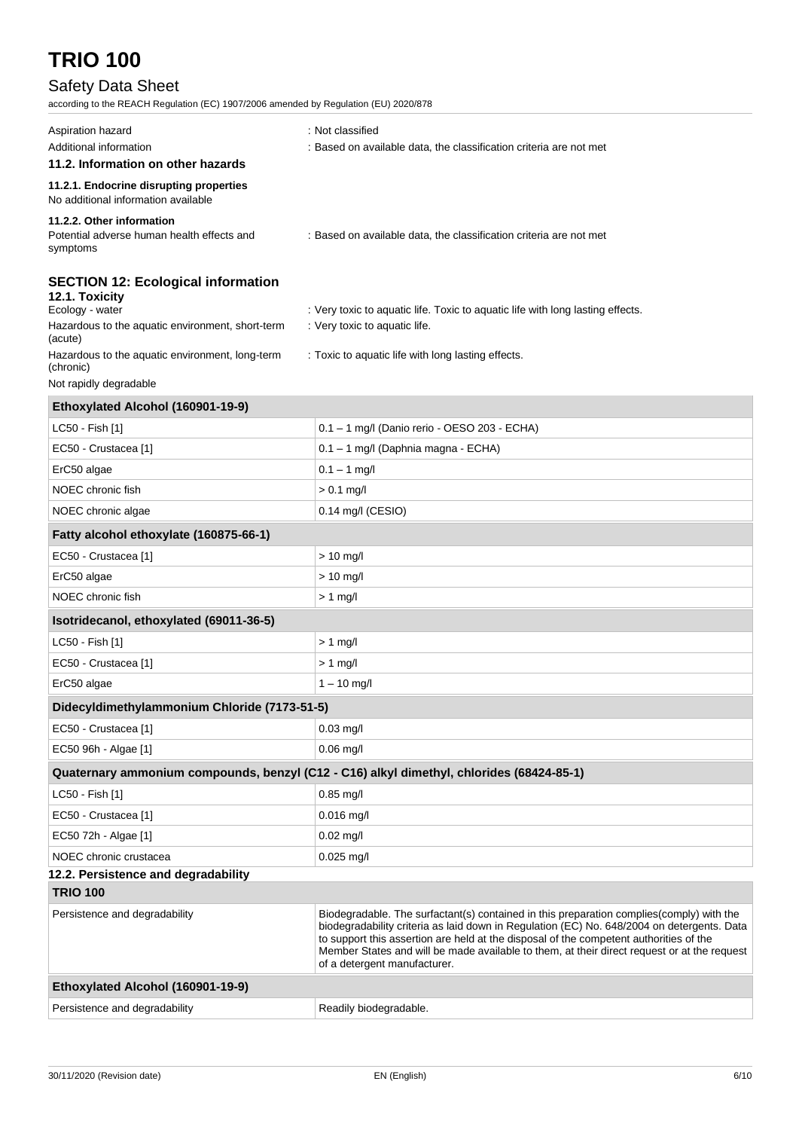## Safety Data Sheet

according to the REACH Regulation (EC) 1907/2006 amended by Regulation (EU) 2020/878

| Aspiration hazard<br>Additional information                                              | : Not classified<br>: Based on available data, the classification criteria are not met                                                                                                                                                                                                                                                                                                                           |  |
|------------------------------------------------------------------------------------------|------------------------------------------------------------------------------------------------------------------------------------------------------------------------------------------------------------------------------------------------------------------------------------------------------------------------------------------------------------------------------------------------------------------|--|
| 11.2. Information on other hazards                                                       |                                                                                                                                                                                                                                                                                                                                                                                                                  |  |
| 11.2.1. Endocrine disrupting properties<br>No additional information available           |                                                                                                                                                                                                                                                                                                                                                                                                                  |  |
| 11.2.2. Other information<br>Potential adverse human health effects and<br>symptoms      | : Based on available data, the classification criteria are not met                                                                                                                                                                                                                                                                                                                                               |  |
| <b>SECTION 12: Ecological information</b><br>12.1. Toxicity<br>Ecology - water           | : Very toxic to aquatic life. Toxic to aquatic life with long lasting effects.                                                                                                                                                                                                                                                                                                                                   |  |
| Hazardous to the aquatic environment, short-term<br>(acute)                              | : Very toxic to aquatic life.                                                                                                                                                                                                                                                                                                                                                                                    |  |
| Hazardous to the aquatic environment, long-term<br>(chronic)                             | : Toxic to aquatic life with long lasting effects.                                                                                                                                                                                                                                                                                                                                                               |  |
| Not rapidly degradable                                                                   |                                                                                                                                                                                                                                                                                                                                                                                                                  |  |
| Ethoxylated Alcohol (160901-19-9)                                                        |                                                                                                                                                                                                                                                                                                                                                                                                                  |  |
| LC50 - Fish [1]                                                                          | 0.1 - 1 mg/l (Danio rerio - OESO 203 - ECHA)                                                                                                                                                                                                                                                                                                                                                                     |  |
| EC50 - Crustacea [1]                                                                     | 0.1 - 1 mg/l (Daphnia magna - ECHA)                                                                                                                                                                                                                                                                                                                                                                              |  |
| ErC50 algae                                                                              | $0.1 - 1$ mg/l                                                                                                                                                                                                                                                                                                                                                                                                   |  |
| NOEC chronic fish                                                                        | $> 0.1$ mg/l                                                                                                                                                                                                                                                                                                                                                                                                     |  |
| NOEC chronic algae                                                                       | 0.14 mg/l (CESIO)                                                                                                                                                                                                                                                                                                                                                                                                |  |
| Fatty alcohol ethoxylate (160875-66-1)                                                   |                                                                                                                                                                                                                                                                                                                                                                                                                  |  |
| EC50 - Crustacea [1]                                                                     | $> 10$ mg/l                                                                                                                                                                                                                                                                                                                                                                                                      |  |
| ErC50 algae                                                                              | $> 10$ mg/l                                                                                                                                                                                                                                                                                                                                                                                                      |  |
| NOEC chronic fish                                                                        | $> 1$ mg/l                                                                                                                                                                                                                                                                                                                                                                                                       |  |
| Isotridecanol, ethoxylated (69011-36-5)                                                  |                                                                                                                                                                                                                                                                                                                                                                                                                  |  |
| LC50 - Fish [1]                                                                          | $> 1$ mg/l                                                                                                                                                                                                                                                                                                                                                                                                       |  |
| EC50 - Crustacea [1]                                                                     | $> 1$ mg/l                                                                                                                                                                                                                                                                                                                                                                                                       |  |
| ErC50 algae                                                                              | $1 - 10$ mg/l                                                                                                                                                                                                                                                                                                                                                                                                    |  |
| Didecyldimethylammonium Chloride (7173-51-5)                                             |                                                                                                                                                                                                                                                                                                                                                                                                                  |  |
| EC50 - Crustacea [1]                                                                     | 0.03 mg/l                                                                                                                                                                                                                                                                                                                                                                                                        |  |
| EC50 96h - Algae [1]                                                                     | $0.06$ mg/l                                                                                                                                                                                                                                                                                                                                                                                                      |  |
| Quaternary ammonium compounds, benzyl (C12 - C16) alkyl dimethyl, chlorides (68424-85-1) |                                                                                                                                                                                                                                                                                                                                                                                                                  |  |
| LC50 - Fish [1]                                                                          | $0.85$ mg/l                                                                                                                                                                                                                                                                                                                                                                                                      |  |
| EC50 - Crustacea [1]                                                                     | $0.016$ mg/l                                                                                                                                                                                                                                                                                                                                                                                                     |  |
| EC50 72h - Algae [1]                                                                     | $0.02 \text{ mg/l}$                                                                                                                                                                                                                                                                                                                                                                                              |  |
| NOEC chronic crustacea                                                                   | $0.025$ mg/l                                                                                                                                                                                                                                                                                                                                                                                                     |  |
| 12.2. Persistence and degradability                                                      |                                                                                                                                                                                                                                                                                                                                                                                                                  |  |
| <b>TRIO 100</b>                                                                          |                                                                                                                                                                                                                                                                                                                                                                                                                  |  |
| Persistence and degradability                                                            | Biodegradable. The surfactant(s) contained in this preparation complies (comply) with the<br>biodegradability criteria as laid down in Regulation (EC) No. 648/2004 on detergents. Data<br>to support this assertion are held at the disposal of the competent authorities of the<br>Member States and will be made available to them, at their direct request or at the request<br>of a detergent manufacturer. |  |
| Ethoxylated Alcohol (160901-19-9)                                                        |                                                                                                                                                                                                                                                                                                                                                                                                                  |  |
| Persistence and degradability                                                            | Readily biodegradable.                                                                                                                                                                                                                                                                                                                                                                                           |  |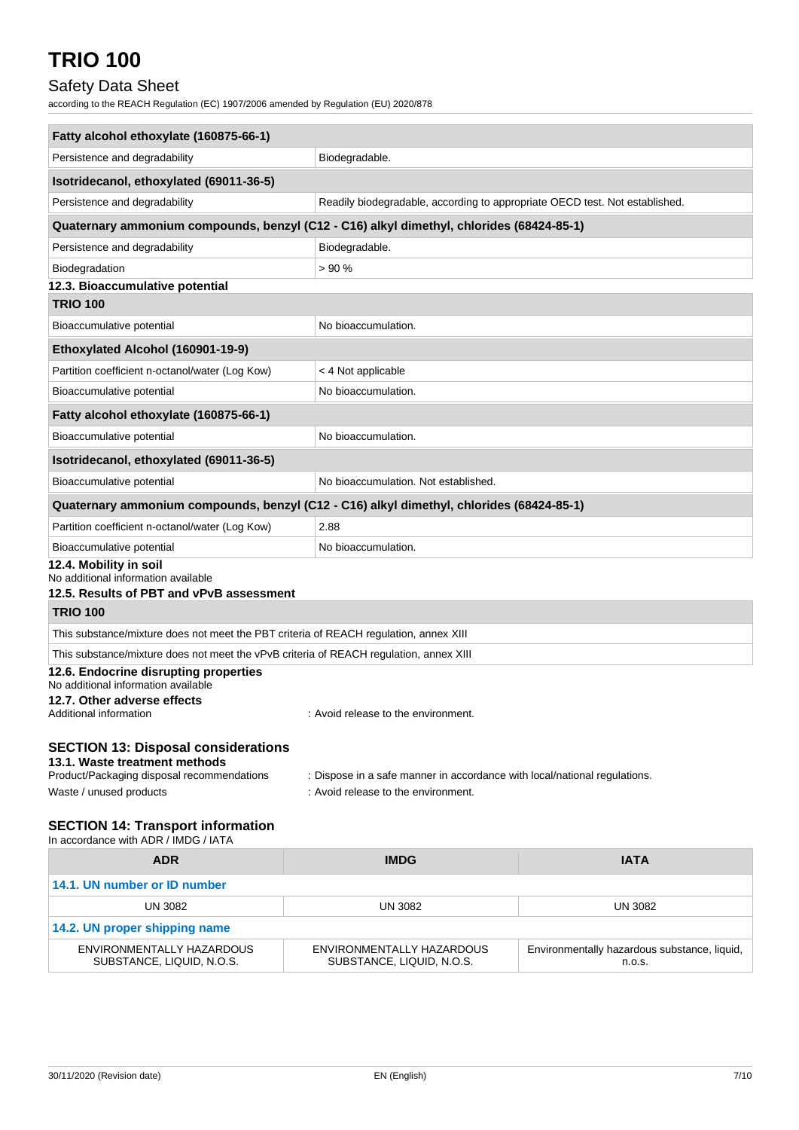## Safety Data Sheet

according to the REACH Regulation (EC) 1907/2006 amended by Regulation (EU) 2020/878

| Fatty alcohol ethoxylate (160875-66-1)                                                                                    |                                                                             |                |  |  |
|---------------------------------------------------------------------------------------------------------------------------|-----------------------------------------------------------------------------|----------------|--|--|
| Persistence and degradability                                                                                             | Biodegradable.                                                              |                |  |  |
| Isotridecanol, ethoxylated (69011-36-5)                                                                                   |                                                                             |                |  |  |
| Persistence and degradability                                                                                             | Readily biodegradable, according to appropriate OECD test. Not established. |                |  |  |
| Quaternary ammonium compounds, benzyl (C12 - C16) alkyl dimethyl, chlorides (68424-85-1)                                  |                                                                             |                |  |  |
| Persistence and degradability                                                                                             | Biodegradable.                                                              |                |  |  |
| Biodegradation                                                                                                            | >90%                                                                        |                |  |  |
| 12.3. Bioaccumulative potential                                                                                           |                                                                             |                |  |  |
| <b>TRIO 100</b>                                                                                                           |                                                                             |                |  |  |
| Bioaccumulative potential                                                                                                 | No bioaccumulation.                                                         |                |  |  |
| Ethoxylated Alcohol (160901-19-9)                                                                                         |                                                                             |                |  |  |
| Partition coefficient n-octanol/water (Log Kow)                                                                           | < 4 Not applicable                                                          |                |  |  |
| No bioaccumulation.<br>Bioaccumulative potential                                                                          |                                                                             |                |  |  |
| Fatty alcohol ethoxylate (160875-66-1)                                                                                    |                                                                             |                |  |  |
| Bioaccumulative potential                                                                                                 | No bioaccumulation.                                                         |                |  |  |
| Isotridecanol, ethoxylated (69011-36-5)                                                                                   |                                                                             |                |  |  |
| Bioaccumulative potential                                                                                                 | No bioaccumulation. Not established.                                        |                |  |  |
| Quaternary ammonium compounds, benzyl (C12 - C16) alkyl dimethyl, chlorides (68424-85-1)                                  |                                                                             |                |  |  |
| Partition coefficient n-octanol/water (Log Kow)                                                                           | 2.88                                                                        |                |  |  |
| Bioaccumulative potential                                                                                                 | No bioaccumulation.                                                         |                |  |  |
| 12.4. Mobility in soil<br>No additional information available                                                             |                                                                             |                |  |  |
| 12.5. Results of PBT and vPvB assessment                                                                                  |                                                                             |                |  |  |
| <b>TRIO 100</b>                                                                                                           |                                                                             |                |  |  |
| This substance/mixture does not meet the PBT criteria of REACH regulation, annex XIII                                     |                                                                             |                |  |  |
| This substance/mixture does not meet the vPvB criteria of REACH regulation, annex XIII                                    |                                                                             |                |  |  |
| 12.6. Endocrine disrupting properties<br>No additional information available                                              |                                                                             |                |  |  |
| 12.7. Other adverse effects<br>Additional information                                                                     | : Avoid release to the environment.                                         |                |  |  |
| <b>SECTION 13: Disposal considerations</b><br>13.1. Waste treatment methods<br>Product/Packaging disposal recommendations | : Dispose in a safe manner in accordance with local/national regulations.   |                |  |  |
| Waste / unused products                                                                                                   | : Avoid release to the environment.                                         |                |  |  |
|                                                                                                                           |                                                                             |                |  |  |
| <b>SECTION 14: Transport information</b><br>In accordance with ADR / IMDG / IATA                                          |                                                                             |                |  |  |
| <b>ADR</b>                                                                                                                | <b>IMDG</b>                                                                 | <b>IATA</b>    |  |  |
| 14.1. UN number or ID number                                                                                              |                                                                             |                |  |  |
| UN 3082                                                                                                                   | <b>UN 3082</b>                                                              | <b>UN 3082</b> |  |  |

| 14.2. UN proper shipping name |                           |                                              |  |
|-------------------------------|---------------------------|----------------------------------------------|--|
| ENVIRONMENTALLY HAZARDOUS     | ENVIRONMENTALLY HAZARDOUS | Environmentally hazardous substance, liquid, |  |
| SUBSTANCE, LIQUID, N.O.S.     | SUBSTANCE, LIQUID, N.O.S. | n.o.s.                                       |  |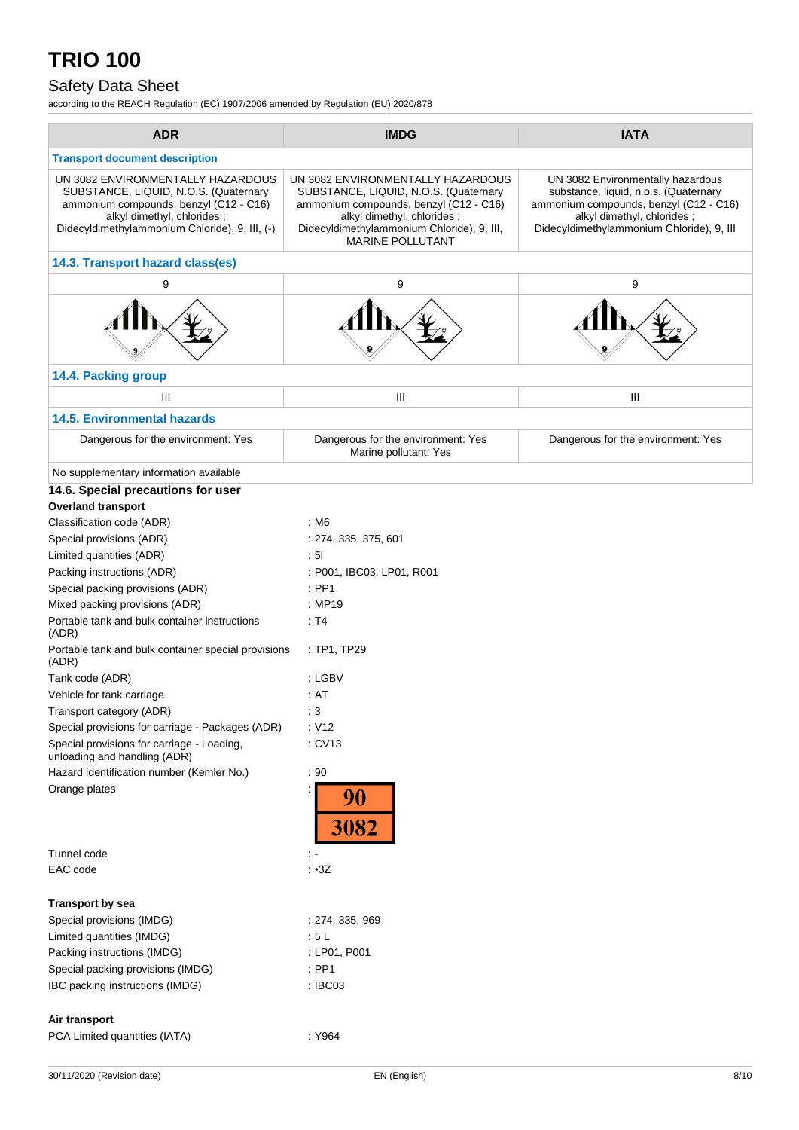## Safety Data Sheet

according to the REACH Regulation (EC) 1907/2006 amended by Regulation (EU) 2020/878

| <b>ADR</b>                                                                                                                                                                                           | <b>IMDG</b>                                                                                                                                                                                                                 | <b>IATA</b>                                                                                                                                                                                     |
|------------------------------------------------------------------------------------------------------------------------------------------------------------------------------------------------------|-----------------------------------------------------------------------------------------------------------------------------------------------------------------------------------------------------------------------------|-------------------------------------------------------------------------------------------------------------------------------------------------------------------------------------------------|
| <b>Transport document description</b>                                                                                                                                                                |                                                                                                                                                                                                                             |                                                                                                                                                                                                 |
| UN 3082 ENVIRONMENTALLY HAZARDOUS<br>SUBSTANCE, LIQUID, N.O.S. (Quaternary<br>ammonium compounds, benzyl (C12 - C16)<br>alkyl dimethyl, chlorides;<br>Didecyldimethylammonium Chloride), 9, III, (-) | UN 3082 ENVIRONMENTALLY HAZARDOUS<br>SUBSTANCE, LIQUID, N.O.S. (Quaternary<br>ammonium compounds, benzyl (C12 - C16)<br>alkyl dimethyl, chlorides;<br>Didecyldimethylammonium Chloride), 9, III,<br><b>MARINE POLLUTANT</b> | UN 3082 Environmentally hazardous<br>substance, liquid, n.o.s. (Quaternary<br>ammonium compounds, benzyl (C12 - C16)<br>alkyl dimethyl, chlorides;<br>Didecyldimethylammonium Chloride), 9, III |
| 14.3. Transport hazard class(es)                                                                                                                                                                     |                                                                                                                                                                                                                             |                                                                                                                                                                                                 |
| 9                                                                                                                                                                                                    | 9                                                                                                                                                                                                                           | 9                                                                                                                                                                                               |
|                                                                                                                                                                                                      |                                                                                                                                                                                                                             |                                                                                                                                                                                                 |
| 14.4. Packing group                                                                                                                                                                                  |                                                                                                                                                                                                                             |                                                                                                                                                                                                 |
| Ш                                                                                                                                                                                                    | Ш                                                                                                                                                                                                                           | Ш                                                                                                                                                                                               |
|                                                                                                                                                                                                      |                                                                                                                                                                                                                             |                                                                                                                                                                                                 |
| <b>14.5. Environmental hazards</b>                                                                                                                                                                   |                                                                                                                                                                                                                             |                                                                                                                                                                                                 |
| Dangerous for the environment: Yes                                                                                                                                                                   | Dangerous for the environment: Yes<br>Marine pollutant: Yes                                                                                                                                                                 | Dangerous for the environment: Yes                                                                                                                                                              |
| No supplementary information available                                                                                                                                                               |                                                                                                                                                                                                                             |                                                                                                                                                                                                 |
| 14.6. Special precautions for user                                                                                                                                                                   |                                                                                                                                                                                                                             |                                                                                                                                                                                                 |
| <b>Overland transport</b>                                                                                                                                                                            |                                                                                                                                                                                                                             |                                                                                                                                                                                                 |
| Classification code (ADR)                                                                                                                                                                            | : M6                                                                                                                                                                                                                        |                                                                                                                                                                                                 |
| Special provisions (ADR)                                                                                                                                                                             | : 274, 335, 375, 601                                                                                                                                                                                                        |                                                                                                                                                                                                 |
| Limited quantities (ADR)                                                                                                                                                                             | : 51                                                                                                                                                                                                                        |                                                                                                                                                                                                 |
| Packing instructions (ADR)                                                                                                                                                                           | : P001, IBC03, LP01, R001                                                                                                                                                                                                   |                                                                                                                                                                                                 |
| Special packing provisions (ADR)                                                                                                                                                                     | $:$ PP1                                                                                                                                                                                                                     |                                                                                                                                                                                                 |
| Mixed packing provisions (ADR)                                                                                                                                                                       | : MP19                                                                                                                                                                                                                      |                                                                                                                                                                                                 |
| Portable tank and bulk container instructions<br>(ADR)                                                                                                                                               | : T4                                                                                                                                                                                                                        |                                                                                                                                                                                                 |
| Portable tank and bulk container special provisions<br>(ADR)                                                                                                                                         | : TP1, TP29                                                                                                                                                                                                                 |                                                                                                                                                                                                 |
| Tank code (ADR)                                                                                                                                                                                      | : LGBV                                                                                                                                                                                                                      |                                                                                                                                                                                                 |
| Vehicle for tank carriage                                                                                                                                                                            | : AT                                                                                                                                                                                                                        |                                                                                                                                                                                                 |
| Transport category (ADR)                                                                                                                                                                             | : 3                                                                                                                                                                                                                         |                                                                                                                                                                                                 |
| Special provisions for carriage - Packages (ADR)                                                                                                                                                     | : V12                                                                                                                                                                                                                       |                                                                                                                                                                                                 |
| Special provisions for carriage - Loading,<br>unloading and handling (ADR)                                                                                                                           | : CV13                                                                                                                                                                                                                      |                                                                                                                                                                                                 |
| Hazard identification number (Kemler No.)                                                                                                                                                            | : 90                                                                                                                                                                                                                        |                                                                                                                                                                                                 |
| Orange plates                                                                                                                                                                                        | 90<br><b>3082</b>                                                                                                                                                                                                           |                                                                                                                                                                                                 |
| Tunnel code                                                                                                                                                                                          |                                                                                                                                                                                                                             |                                                                                                                                                                                                 |
| EAC code                                                                                                                                                                                             | : 3Z                                                                                                                                                                                                                        |                                                                                                                                                                                                 |
| <b>Transport by sea</b>                                                                                                                                                                              |                                                                                                                                                                                                                             |                                                                                                                                                                                                 |
| Special provisions (IMDG)                                                                                                                                                                            | : 274, 335, 969                                                                                                                                                                                                             |                                                                                                                                                                                                 |
| Limited quantities (IMDG)                                                                                                                                                                            | :5L                                                                                                                                                                                                                         |                                                                                                                                                                                                 |
| Packing instructions (IMDG)                                                                                                                                                                          | : LP01, P001                                                                                                                                                                                                                |                                                                                                                                                                                                 |
| Special packing provisions (IMDG)                                                                                                                                                                    | $:$ PP1                                                                                                                                                                                                                     |                                                                                                                                                                                                 |
| IBC packing instructions (IMDG)                                                                                                                                                                      | : IBC03                                                                                                                                                                                                                     |                                                                                                                                                                                                 |
| Air transport<br>PCA Limited quantities (IATA)                                                                                                                                                       | : Y964                                                                                                                                                                                                                      |                                                                                                                                                                                                 |
|                                                                                                                                                                                                      |                                                                                                                                                                                                                             |                                                                                                                                                                                                 |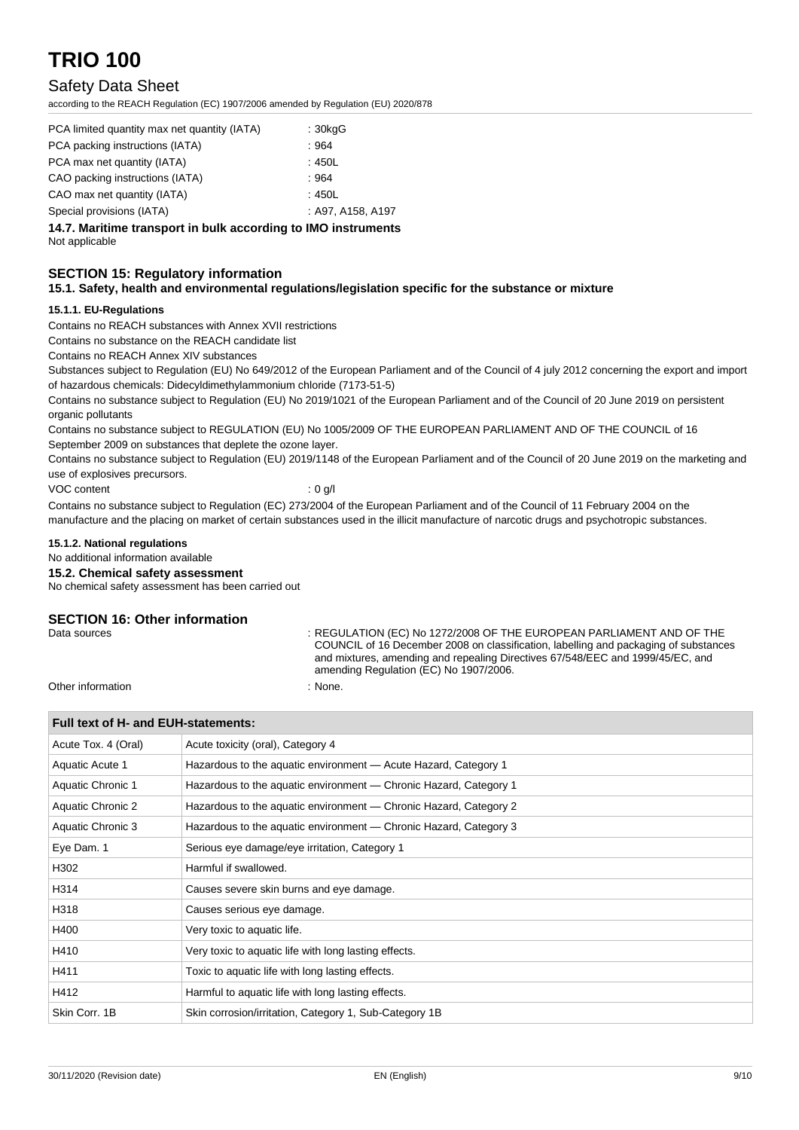### Safety Data Sheet

according to the REACH Regulation (EC) 1907/2006 amended by Regulation (EU) 2020/878

| PCA limited quantity max net quantity (IATA) | : 30kgG           |
|----------------------------------------------|-------------------|
| PCA packing instructions (IATA)              | :964              |
| PCA max net quantity (IATA)                  | :450L             |
| CAO packing instructions (IATA)              | :964              |
| CAO max net quantity (IATA)                  | :450L             |
| Special provisions (IATA)                    | : A97, A158, A197 |

**14.7. Maritime transport in bulk according to IMO instruments**

Not applicable

### **SECTION 15: Regulatory information**

### **15.1. Safety, health and environmental regulations/legislation specific for the substance or mixture**

### **15.1.1. EU-Regulations**

Contains no REACH substances with Annex XVII restrictions

Contains no substance on the REACH candidate list

Contains no REACH Annex XIV substances

Substances subject to Regulation (EU) No 649/2012 of the European Parliament and of the Council of 4 july 2012 concerning the export and import of hazardous chemicals: Didecyldimethylammonium chloride (7173-51-5)

Contains no substance subject to Regulation (EU) No 2019/1021 of the European Parliament and of the Council of 20 June 2019 on persistent organic pollutants

Contains no substance subject to REGULATION (EU) No 1005/2009 OF THE EUROPEAN PARLIAMENT AND OF THE COUNCIL of 16 September 2009 on substances that deplete the ozone layer.

Contains no substance subject to Regulation (EU) 2019/1148 of the European Parliament and of the Council of 20 June 2019 on the marketing and use of explosives precursors.

VOC content : 0 g/l

Contains no substance subject to Regulation (EC) 273/2004 of the European Parliament and of the Council of 11 February 2004 on the manufacture and the placing on market of certain substances used in the illicit manufacture of narcotic drugs and psychotropic substances.

### **15.1.2. National regulations**

No additional information available

### **15.2. Chemical safety assessment**

No chemical safety assessment has been carried out

### **SECTION 16: Other information**

Data sources : REGULATION (EC) No 1272/2008 OF THE EUROPEAN PARLIAMENT AND OF THE COUNCIL of 16 December 2008 on classification, labelling and packaging of substances and mixtures, amending and repealing Directives 67/548/EEC and 1999/45/EC, and amending Regulation (EC) No 1907/2006.

Other information  $\blacksquare$  : None.

### **Full text of H- and EUH-statements:**

| Acute Tox. 4 (Oral)      | Acute toxicity (oral), Category 4                                 |  |  |
|--------------------------|-------------------------------------------------------------------|--|--|
| Aquatic Acute 1          | Hazardous to the aquatic environment - Acute Hazard, Category 1   |  |  |
| <b>Aquatic Chronic 1</b> | Hazardous to the aquatic environment - Chronic Hazard, Category 1 |  |  |
| Aquatic Chronic 2        | Hazardous to the aquatic environment — Chronic Hazard, Category 2 |  |  |
| Aquatic Chronic 3        | Hazardous to the aquatic environment — Chronic Hazard, Category 3 |  |  |
| Eye Dam. 1               | Serious eye damage/eye irritation, Category 1                     |  |  |
| H302                     | Harmful if swallowed.                                             |  |  |
| H314                     | Causes severe skin burns and eye damage.                          |  |  |
| H318                     | Causes serious eye damage.                                        |  |  |
| H400                     | Very toxic to aquatic life.                                       |  |  |
| H410                     | Very toxic to aquatic life with long lasting effects.             |  |  |
| H411                     | Toxic to aquatic life with long lasting effects.                  |  |  |
| H412                     | Harmful to aquatic life with long lasting effects.                |  |  |
| Skin Corr. 1B            | Skin corrosion/irritation, Category 1, Sub-Category 1B            |  |  |